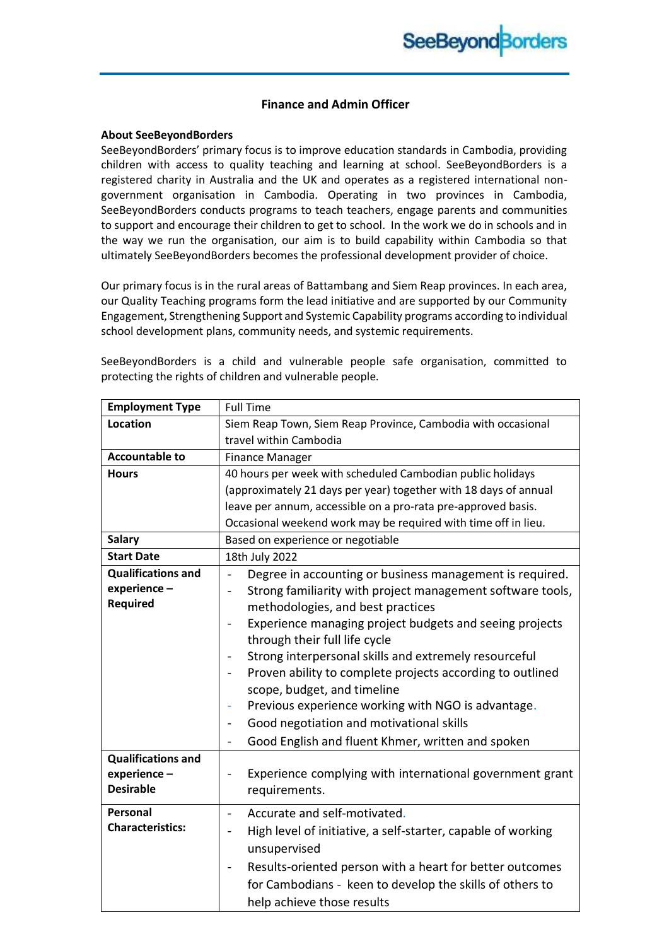#### **Finance and Admin Officer**

#### **About SeeBeyondBorders**

SeeBeyondBorders' primary focus is to improve education standards in Cambodia, providing children with access to quality teaching and learning at school. SeeBeyondBorders is a registered charity in Australia and the UK and operates as a registered international nongovernment organisation in Cambodia. Operating in two provinces in Cambodia, SeeBeyondBorders conducts programs to teach teachers, engage parents and communities to support and encourage their children to get to school. In the work we do in schools and in the way we run the organisation, our aim is to build capability within Cambodia so that ultimately SeeBeyondBorders becomes the professional development provider of choice.

Our primary focus is in the rural areas of Battambang and Siem Reap provinces. In each area, our Quality Teaching programs form the lead initiative and are supported by our Community Engagement, Strengthening Support and Systemic Capability programs according to individual school development plans, community needs, and systemic requirements.

SeeBeyondBorders is a child and vulnerable people safe organisation, committed to protecting the rights of children and vulnerable people.

| <b>Employment Type</b>                                       | <b>Full Time</b>                                                                                                                                                                                                                                                                                                                                                                                                                                                                                                                                                                                                                                                    |
|--------------------------------------------------------------|---------------------------------------------------------------------------------------------------------------------------------------------------------------------------------------------------------------------------------------------------------------------------------------------------------------------------------------------------------------------------------------------------------------------------------------------------------------------------------------------------------------------------------------------------------------------------------------------------------------------------------------------------------------------|
| Location                                                     | Siem Reap Town, Siem Reap Province, Cambodia with occasional                                                                                                                                                                                                                                                                                                                                                                                                                                                                                                                                                                                                        |
|                                                              | travel within Cambodia                                                                                                                                                                                                                                                                                                                                                                                                                                                                                                                                                                                                                                              |
| <b>Accountable to</b>                                        | <b>Finance Manager</b>                                                                                                                                                                                                                                                                                                                                                                                                                                                                                                                                                                                                                                              |
| <b>Hours</b>                                                 | 40 hours per week with scheduled Cambodian public holidays                                                                                                                                                                                                                                                                                                                                                                                                                                                                                                                                                                                                          |
|                                                              | (approximately 21 days per year) together with 18 days of annual                                                                                                                                                                                                                                                                                                                                                                                                                                                                                                                                                                                                    |
|                                                              | leave per annum, accessible on a pro-rata pre-approved basis.                                                                                                                                                                                                                                                                                                                                                                                                                                                                                                                                                                                                       |
|                                                              | Occasional weekend work may be required with time off in lieu.                                                                                                                                                                                                                                                                                                                                                                                                                                                                                                                                                                                                      |
| <b>Salary</b>                                                | Based on experience or negotiable                                                                                                                                                                                                                                                                                                                                                                                                                                                                                                                                                                                                                                   |
| <b>Start Date</b>                                            | 18th July 2022                                                                                                                                                                                                                                                                                                                                                                                                                                                                                                                                                                                                                                                      |
| <b>Qualifications and</b><br>experience-<br><b>Required</b>  | Degree in accounting or business management is required.<br>$\blacksquare$<br>Strong familiarity with project management software tools,<br>$\qquad \qquad \blacksquare$<br>methodologies, and best practices<br>Experience managing project budgets and seeing projects<br>through their full life cycle<br>Strong interpersonal skills and extremely resourceful<br>Proven ability to complete projects according to outlined<br>scope, budget, and timeline<br>Previous experience working with NGO is advantage.<br>Good negotiation and motivational skills<br>$\overline{a}$<br>Good English and fluent Khmer, written and spoken<br>$\overline{\phantom{0}}$ |
| <b>Qualifications and</b><br>experience-<br><b>Desirable</b> | Experience complying with international government grant<br>requirements.                                                                                                                                                                                                                                                                                                                                                                                                                                                                                                                                                                                           |
| Personal<br><b>Characteristics:</b>                          | Accurate and self-motivated.<br>$\blacksquare$<br>High level of initiative, a self-starter, capable of working<br>$\overline{\phantom{0}}$<br>unsupervised<br>Results-oriented person with a heart for better outcomes<br>for Cambodians - keen to develop the skills of others to<br>help achieve those results                                                                                                                                                                                                                                                                                                                                                    |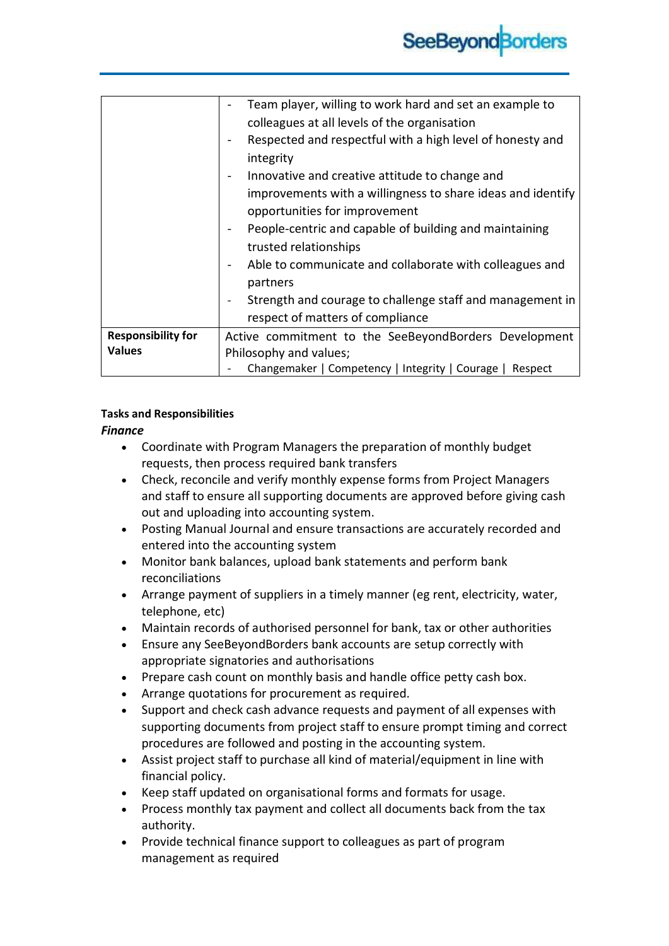|                           | Team player, willing to work hard and set an example to     |
|---------------------------|-------------------------------------------------------------|
|                           | colleagues at all levels of the organisation                |
|                           | Respected and respectful with a high level of honesty and   |
|                           | integrity                                                   |
|                           | Innovative and creative attitude to change and              |
|                           | improvements with a willingness to share ideas and identify |
|                           | opportunities for improvement                               |
|                           | People-centric and capable of building and maintaining      |
|                           | trusted relationships                                       |
|                           | Able to communicate and collaborate with colleagues and     |
|                           | partners                                                    |
|                           | Strength and courage to challenge staff and management in   |
|                           | respect of matters of compliance                            |
| <b>Responsibility for</b> | Active commitment to the SeeBeyondBorders Development       |
| <b>Values</b>             | Philosophy and values;                                      |
|                           | Changemaker   Competency   Integrity   Courage   Respect    |

# **Tasks and Responsibilities**

### *Finance*

- Coordinate with Program Managers the preparation of monthly budget requests, then process required bank transfers
- Check, reconcile and verify monthly expense forms from Project Managers and staff to ensure all supporting documents are approved before giving cash out and uploading into accounting system.
- Posting Manual Journal and ensure transactions are accurately recorded and entered into the accounting system
- Monitor bank balances, upload bank statements and perform bank reconciliations
- Arrange payment of suppliers in a timely manner (eg rent, electricity, water, telephone, etc)
- Maintain records of authorised personnel for bank, tax or other authorities
- Ensure any SeeBeyondBorders bank accounts are setup correctly with appropriate signatories and authorisations
- Prepare cash count on monthly basis and handle office petty cash box.
- Arrange quotations for procurement as required.
- Support and check cash advance requests and payment of all expenses with supporting documents from project staff to ensure prompt timing and correct procedures are followed and posting in the accounting system.
- Assist project staff to purchase all kind of material/equipment in line with financial policy.
- Keep staff updated on organisational forms and formats for usage.
- Process monthly tax payment and collect all documents back from the tax authority.
- Provide technical finance support to colleagues as part of program management as required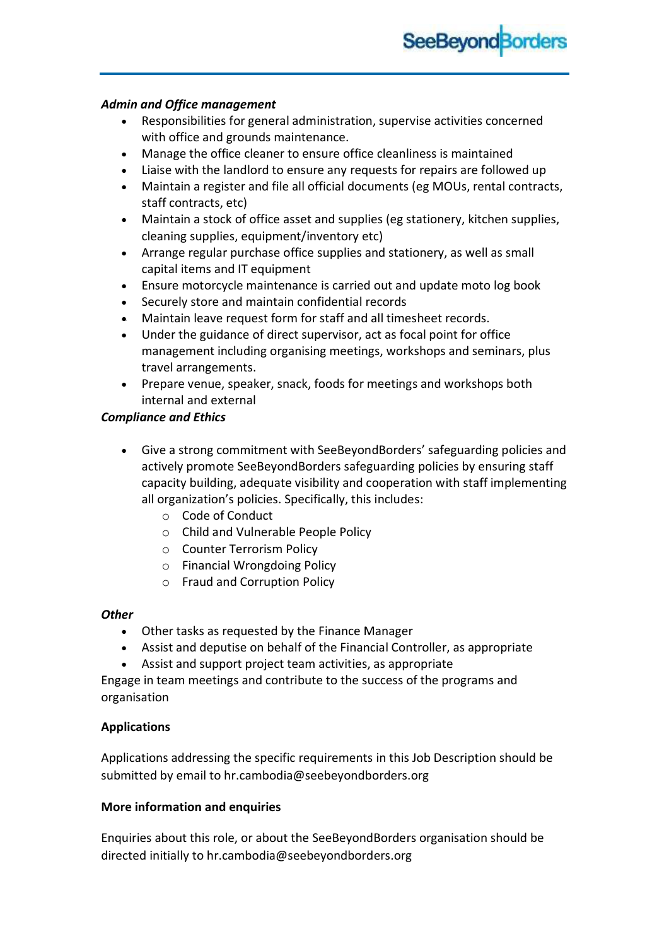

### *Admin and Office management*

- Responsibilities for general administration, supervise activities concerned with office and grounds maintenance.
- Manage the office cleaner to ensure office cleanliness is maintained
- Liaise with the landlord to ensure any requests for repairs are followed up
- Maintain a register and file all official documents (eg MOUs, rental contracts, staff contracts, etc)
- Maintain a stock of office asset and supplies (eg stationery, kitchen supplies, cleaning supplies, equipment/inventory etc)
- Arrange regular purchase office supplies and stationery, as well as small capital items and IT equipment
- Ensure motorcycle maintenance is carried out and update moto log book
- Securely store and maintain confidential records
- Maintain leave request form for staff and all timesheet records.
- Under the guidance of direct supervisor, act as focal point for office management including organising meetings, workshops and seminars, plus travel arrangements.
- Prepare venue, speaker, snack, foods for meetings and workshops both internal and external

# *Compliance and Ethics*

- Give a strong commitment with SeeBeyondBorders' safeguarding policies and actively promote SeeBeyondBorders safeguarding policies by ensuring staff capacity building, adequate visibility and cooperation with staff implementing all organization's policies. Specifically, this includes:
	- o Code of Conduct
	- o Child and Vulnerable People Policy
	- o Counter Terrorism Policy
	- o Financial Wrongdoing Policy
	- o Fraud and Corruption Policy

# *Other*

- Other tasks as requested by the Finance Manager
- Assist and deputise on behalf of the Financial Controller, as appropriate
- Assist and support project team activities, as appropriate

Engage in team meetings and contribute to the success of the programs and organisation

# **Applications**

Applications addressing the specific requirements in this Job Description should be submitted by email to hr.cambodia@seebeyondborders.org

# **More information and enquiries**

Enquiries about this role, or about the SeeBeyondBorders organisation should be directed initially to hr.cambodia@seebeyondborders.org